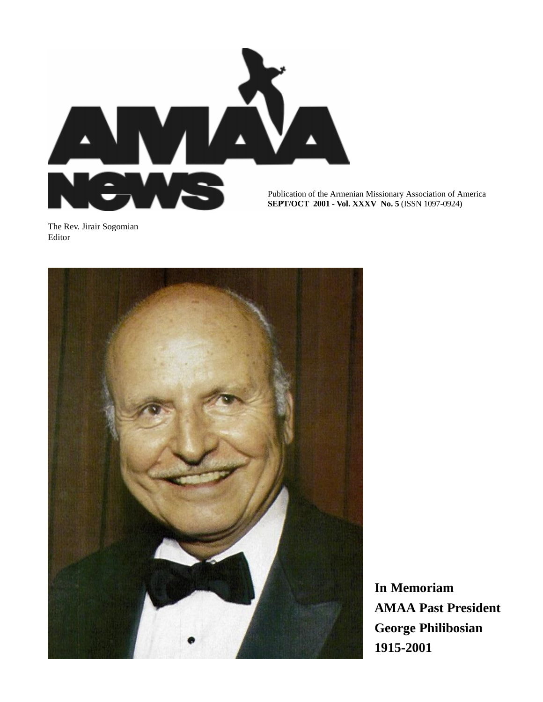

Publication of the Armenian Missionary Association of America **SEPT/OCT 2001 - Vol. XXXV No. 5** (ISSN 1097-0924)

The Rev. Jirair Sogomian Editor



**In Memoriam AMAA Past President George Philibosian 1915-2001**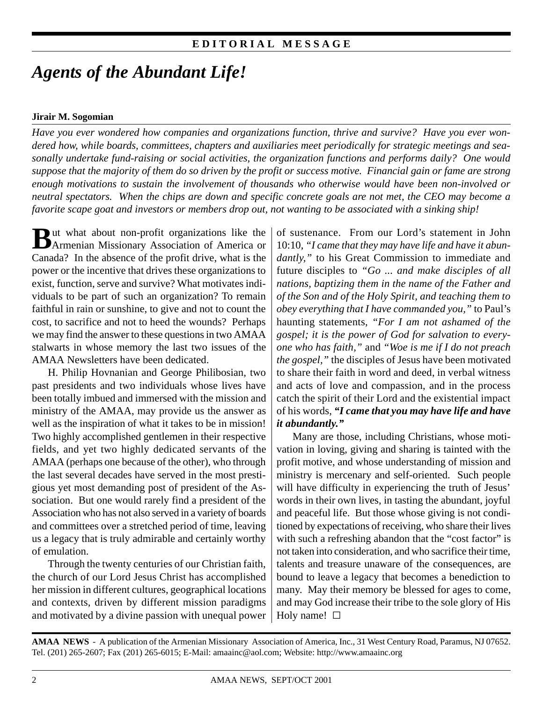## **E D I T O R I A L M E S S A G E**

# *Agents of the Abundant Life!*

#### **Jirair M. Sogomian**

*Have you ever wondered how companies and organizations function, thrive and survive? Have you ever wondered how, while boards, committees, chapters and auxiliaries meet periodically for strategic meetings and seasonally undertake fund-raising or social activities, the organization functions and performs daily? One would suppose that the majority of them do so driven by the profit or success motive. Financial gain or fame are strong enough motivations to sustain the involvement of thousands who otherwise would have been non-involved or neutral spectators. When the chips are down and specific concrete goals are not met, the CEO may become a favorite scape goat and investors or members drop out, not wanting to be associated with a sinking ship!*

**B**ut what about non-profit organizations like the Armenian Missionary Association of America or Canada? In the absence of the profit drive, what is the power or the incentive that drives these organizations to exist, function, serve and survive? What motivates individuals to be part of such an organization? To remain faithful in rain or sunshine, to give and not to count the cost, to sacrifice and not to heed the wounds? Perhaps we may find the answer to these questions in two AMAA stalwarts in whose memory the last two issues of the AMAA Newsletters have been dedicated.

H. Philip Hovnanian and George Philibosian, two past presidents and two individuals whose lives have been totally imbued and immersed with the mission and ministry of the AMAA, may provide us the answer as well as the inspiration of what it takes to be in mission! Two highly accomplished gentlemen in their respective fields, and yet two highly dedicated servants of the AMAA (perhaps one because of the other), who through the last several decades have served in the most prestigious yet most demanding post of president of the Association. But one would rarely find a president of the Association who has not also served in a variety of boards and committees over a stretched period of time, leaving us a legacy that is truly admirable and certainly worthy of emulation.

Through the twenty centuries of our Christian faith, the church of our Lord Jesus Christ has accomplished her mission in different cultures, geographical locations and contexts, driven by different mission paradigms and motivated by a divine passion with unequal power of sustenance. From our Lord's statement in John 10:10, *"I came that they may have life and have it abundantly,"* to his Great Commission to immediate and future disciples to *"Go ... and make disciples of all nations, baptizing them in the name of the Father and of the Son and of the Holy Spirit, and teaching them to obey everything that I have commanded you,"* to Paul's haunting statements, *"For I am not ashamed of the gospel; it is the power of God for salvation to everyone who has faith,"* and *"Woe is me if I do not preach the gospel,"* the disciples of Jesus have been motivated to share their faith in word and deed, in verbal witness and acts of love and compassion, and in the process catch the spirit of their Lord and the existential impact of his words, *"I came that you may have life and have it abundantly."*

Many are those, including Christians, whose motivation in loving, giving and sharing is tainted with the profit motive, and whose understanding of mission and ministry is mercenary and self-oriented. Such people will have difficulty in experiencing the truth of Jesus' words in their own lives, in tasting the abundant, joyful and peaceful life. But those whose giving is not conditioned by expectations of receiving, who share their lives with such a refreshing abandon that the "cost factor" is not taken into consideration, and who sacrifice their time, talents and treasure unaware of the consequences, are bound to leave a legacy that becomes a benediction to many. May their memory be blessed for ages to come, and may God increase their tribe to the sole glory of His Holy name!  $\square$ 

**AMAA NEWS** - A publication of the Armenian Missionary Association of America, Inc., 31 West Century Road, Paramus, NJ 07652. Tel. (201) 265-2607; Fax (201) 265-6015; E-Mail: amaainc@aol.com; Website: http://www.amaainc.org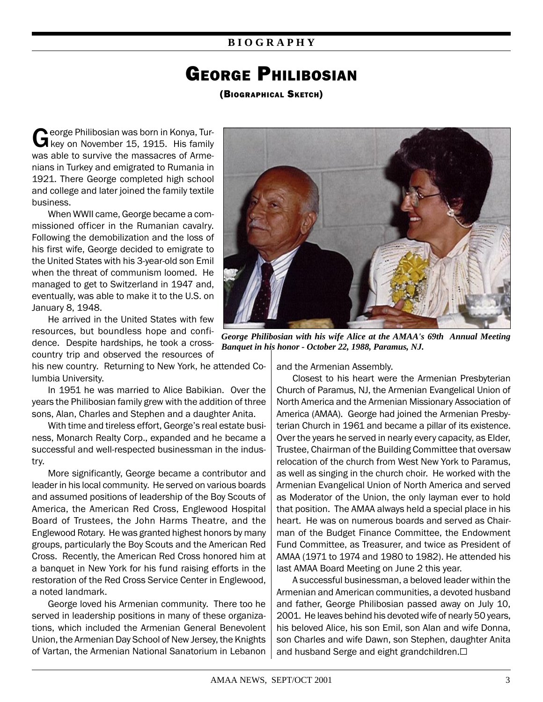### **B I O G R A P H Y**

# GEORGE PHILIBOSIAN

(BIOGRAPHICAL SKETCH)

George Philibosian was born in Konya, Tur-<br>G key on November 15, 1915. His family was able to survive the massacres of Armenians in Turkey and emigrated to Rumania in 1921. There George completed high school and college and later joined the family textile business.

When WWII came, George became a commissioned officer in the Rumanian cavalry. Following the demobilization and the loss of his first wife, George decided to emigrate to the United States with his 3-year-old son Emil when the threat of communism loomed. He managed to get to Switzerland in 1947 and, eventually, was able to make it to the U.S. on January 8, 1948.

He arrived in the United States with few resources, but boundless hope and confidence. Despite hardships, he took a crosscountry trip and observed the resources of

his new country. Returning to New York, he attended Columbia University.

In 1951 he was married to Alice Babikian. Over the years the Philibosian family grew with the addition of three sons, Alan, Charles and Stephen and a daughter Anita.

With time and tireless effort, George's real estate business, Monarch Realty Corp., expanded and he became a successful and well-respected businessman in the industry.

More significantly, George became a contributor and leader in his local community. He served on various boards and assumed positions of leadership of the Boy Scouts of America, the American Red Cross, Englewood Hospital Board of Trustees, the John Harms Theatre, and the Englewood Rotary. He was granted highest honors by many groups, particularly the Boy Scouts and the American Red Cross. Recently, the American Red Cross honored him at a banquet in New York for his fund raising efforts in the restoration of the Red Cross Service Center in Englewood, a noted landmark.

George loved his Armenian community. There too he served in leadership positions in many of these organizations, which included the Armenian General Benevolent Union, the Armenian Day School of New Jersey, the Knights of Vartan, the Armenian National Sanatorium in Lebanon



*George Philibosian with his wife Alice at the AMAA's 69th Annual Meeting Banquet in his honor - October 22, 1988, Paramus, NJ.*

and the Armenian Assembly.

Closest to his heart were the Armenian Presbyterian Church of Paramus, NJ, the Armenian Evangelical Union of North America and the Armenian Missionary Association of America (AMAA). George had joined the Armenian Presbyterian Church in 1961 and became a pillar of its existence. Over the years he served in nearly every capacity, as Elder, Trustee, Chairman of the Building Committee that oversaw relocation of the church from West New York to Paramus, as well as singing in the church choir. He worked with the Armenian Evangelical Union of North America and served as Moderator of the Union, the only layman ever to hold that position. The AMAA always held a special place in his heart. He was on numerous boards and served as Chairman of the Budget Finance Committee, the Endowment Fund Committee, as Treasurer, and twice as President of AMAA (1971 to 1974 and 1980 to 1982). He attended his last AMAA Board Meeting on June 2 this year.

A successful businessman, a beloved leader within the Armenian and American communities, a devoted husband and father, George Philibosian passed away on July 10, 2001. He leaves behind his devoted wife of nearly 50 years, his beloved Alice, his son Emil, son Alan and wife Donna, son Charles and wife Dawn, son Stephen, daughter Anita and husband Serge and eight grandchildren. $\Box$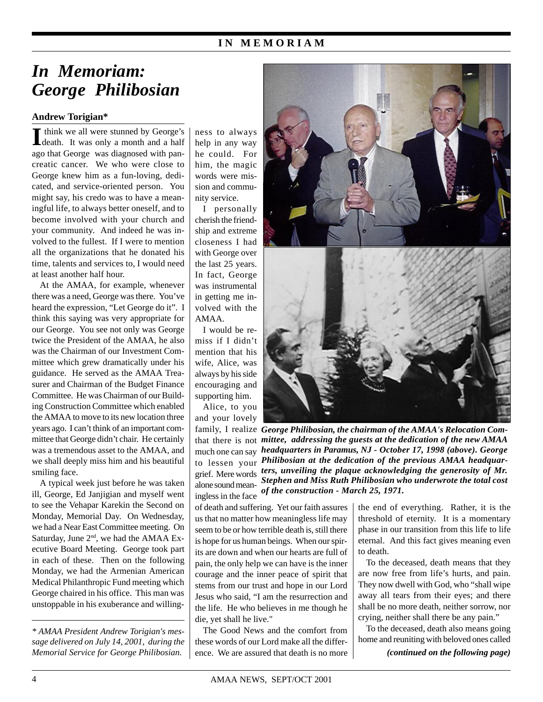### **I N M E M O R I A M**

# *In Memoriam: George Philibosian*

#### **Andrew Torigian\***

If think we all were stunned by George's death. It was only a month and a half think we all were stunned by George's ago that George was diagnosed with pancreatic cancer. We who were close to George knew him as a fun-loving, dedicated, and service-oriented person. You might say, his credo was to have a meaningful life, to always better oneself, and to become involved with your church and your community. And indeed he was involved to the fullest. If I were to mention all the organizations that he donated his time, talents and services to, I would need at least another half hour.

At the AMAA, for example, whenever there was a need, George was there. You've heard the expression, "Let George do it". I think this saying was very appropriate for our George. You see not only was George twice the President of the AMAA, he also was the Chairman of our Investment Committee which grew dramatically under his guidance. He served as the AMAA Treasurer and Chairman of the Budget Finance Committee. He was Chairman of our Building Construction Committee which enabled the AMAA to move to its new location three years ago. I can't think of an important committee that George didn't chair. He certainly was a tremendous asset to the AMAA, and we shall deeply miss him and his beautiful smiling face.

A typical week just before he was taken ill, George, Ed Janjigian and myself went to see the Vehapar Karekin the Second on Monday, Memorial Day. On Wednesday, we had a Near East Committee meeting. On Saturday, June 2<sup>nd</sup>, we had the AMAA Executive Board Meeting. George took part in each of these. Then on the following Monday, we had the Armenian American Medical Philanthropic Fund meeting which George chaired in his office. This man was unstoppable in his exuberance and willing-

*\* AMAA President Andrew Torigian's message delivered on July 14, 2001, during the* ness to always help in any way he could. For him, the magic words were mission and community service.

I personally cherish the friendship and extreme closeness I had with George over the last 25 years. In fact, George was instrumental in getting me involved with the AMAA.

I would be remiss if I didn't mention that his wife, Alice, was always by his side encouraging and supporting him.

Alice, to you and your lovely ingless in the face



family, I realize George Philibosian, the chairman of the AMAA's Relocation Comthat there is not *mittee, addressing the guests at the dedication of the new AMAA headquarters in Paramus, NJ - October 17, 1998 (above). George* much one can say *Philibosian at the dedication of the previous AMAA headquar-*to lessen your grief. Mere words *ters, unveiling the plaque acknowledging the generosity of Mr.* Stephen and Miss Ruth Philibosian who underwrote the total cost alone sound mean-<br>ip alone in the face of the construction - March 25, 1971.

of death and suffering. Yet our faith assures us that no matter how meaningless life may seem to be or how terrible death is, still there is hope for us human beings. When our spirits are down and when our hearts are full of pain, the only help we can have is the inner courage and the inner peace of spirit that stems from our trust and hope in our Lord Jesus who said, "I am the resurrection and the life. He who believes in me though he die, yet shall he live."

The Good News and the comfort from these words of our Lord make all the differ-Memorial Service for George Philibosian.  $\mid$  ence. We are assured that death is no more  $\mid$  (continued on the following page)

the end of everything. Rather, it is the threshold of eternity. It is a momentary phase in our transition from this life to life eternal. And this fact gives meaning even to death.

To the deceased, death means that they are now free from life's hurts, and pain. They now dwell with God, who "shall wipe away all tears from their eyes; and there shall be no more death, neither sorrow, nor crying, neither shall there be any pain."

To the deceased, death also means going home and reuniting with beloved ones called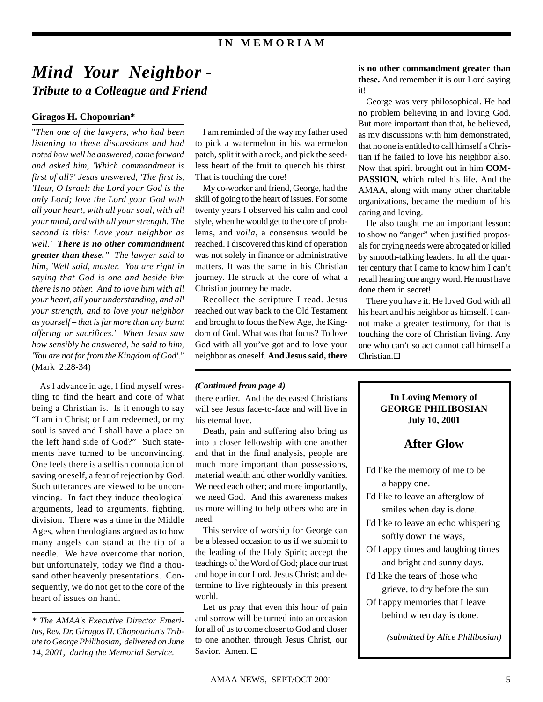# *Mind Your Neighbor - Tribute to a Colleague and Friend*

### **Giragos H. Chopourian\***

"*Then one of the lawyers, who had been listening to these discussions and had noted how well he answered, came forward and asked him, 'Which commandment is first of all?' Jesus answered, 'The first is, 'Hear, O Israel: the Lord your God is the only Lord; love the Lord your God with all your heart, with all your soul, with all your mind, and with all your strength. The second is this: Love your neighbor as well.' There is no other commandment greater than these." The lawyer said to him, 'Well said, master. You are right in saying that God is one and beside him there is no other. And to love him with all your heart, all your understanding, and all your strength, and to love your neighbor as yourself – that is far more than any burnt offering or sacrifices.' When Jesus saw how sensibly he answered, he said to him, 'You are not far from the Kingdom of God'*." (Mark 2:28-34)

As I advance in age, I find myself wrestling to find the heart and core of what being a Christian is. Is it enough to say "I am in Christ; or I am redeemed, or my soul is saved and I shall have a place on the left hand side of God?" Such statements have turned to be unconvincing. One feels there is a selfish connotation of saving oneself, a fear of rejection by God. Such utterances are viewed to be unconvincing. In fact they induce theological arguments, lead to arguments, fighting, division. There was a time in the Middle Ages, when theologians argued as to how many angels can stand at the tip of a needle. We have overcome that notion, but unfortunately, today we find a thousand other heavenly presentations. Consequently, we do not get to the core of the heart of issues on hand.

*\* The AMAA's Executive Director Emeritus, Rev. Dr. Giragos H. Chopourian's Tribute to George Philibosian, delivered on June 14, 2001, during the Memorial Service.*

I am reminded of the way my father used to pick a watermelon in his watermelon patch, split it with a rock, and pick the seedless heart of the fruit to quench his thirst. That is touching the core!

My co-worker and friend, George, had the skill of going to the heart of issues. For some twenty years I observed his calm and cool style, when he would get to the core of problems, and *voila*, a consensus would be reached. I discovered this kind of operation was not solely in finance or administrative matters. It was the same in his Christian journey. He struck at the core of what a Christian journey he made.

Recollect the scripture I read. Jesus reached out way back to the Old Testament and brought to focus the New Age, the Kingdom of God. What was that focus? To love God with all you've got and to love your neighbor as oneself. **And Jesus said, there**

#### *(Continued from page 4)*

there earlier. And the deceased Christians will see Jesus face-to-face and will live in his eternal love.

Death, pain and suffering also bring us into a closer fellowship with one another and that in the final analysis, people are much more important than possessions, material wealth and other worldly vanities. We need each other; and more importantly, we need God. And this awareness makes us more willing to help others who are in need.

This service of worship for George can be a blessed occasion to us if we submit to the leading of the Holy Spirit; accept the teachings of the Word of God; place our trust and hope in our Lord, Jesus Christ; and determine to live righteously in this present world.

Let us pray that even this hour of pain and sorrow will be turned into an occasion for all of us to come closer to God and closer to one another, through Jesus Christ, our Savior. Amen. □

**is no other commandment greater than these.** And remember it is our Lord saying it!

George was very philosophical. He had no problem believing in and loving God. But more important than that, he believed, as my discussions with him demonstrated, that no one is entitled to call himself a Christian if he failed to love his neighbor also. Now that spirit brought out in him **COM-PASSION,** which ruled his life. And the AMAA, along with many other charitable organizations, became the medium of his caring and loving.

He also taught me an important lesson: to show no "anger" when justified proposals for crying needs were abrogated or killed by smooth-talking leaders. In all the quarter century that I came to know him I can't recall hearing one angry word. He must have done them in secret!

There you have it: He loved God with all his heart and his neighbor as himself. I cannot make a greater testimony, for that is touching the core of Christian living. Any one who can't so act cannot call himself a Christian.<sup>[]</sup>

#### **In Loving Memory of GEORGE PHILIBOSIAN July 10, 2001**

## **After Glow**

- I'd like the memory of me to be a happy one.
- I'd like to leave an afterglow of smiles when day is done.
- I'd like to leave an echo whispering softly down the ways,
- Of happy times and laughing times and bright and sunny days.
- I'd like the tears of those who grieve, to dry before the sun
- Of happy memories that I leave behind when day is done.

*(submitted by Alice Philibosian)*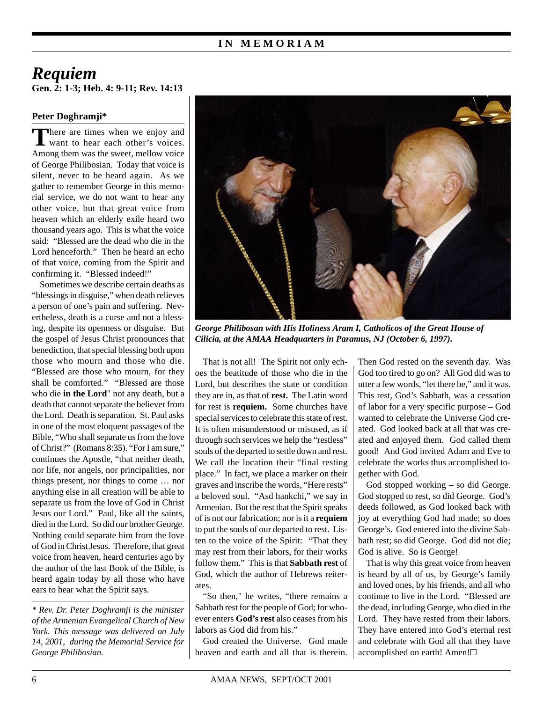## **Gen. 2: 1-3; Heb. 4: 9-11; Rev. 14:13** *Requiem*

#### **Peter Doghramji\***

There are times when we enjoy and<br>want to hear each other's voices. Among them was the sweet, mellow voice of George Philibosian. Today that voice is silent, never to be heard again. As we gather to remember George in this memorial service, we do not want to hear any other voice, but that great voice from heaven which an elderly exile heard two thousand years ago. This is what the voice said: "Blessed are the dead who die in the Lord henceforth." Then he heard an echo of that voice, coming from the Spirit and confirming it. "Blessed indeed!"

Sometimes we describe certain deaths as "blessings in disguise," when death relieves a person of one's pain and suffering. Nevertheless, death is a curse and not a blessing, despite its openness or disguise. But the gospel of Jesus Christ pronounces that benediction, that special blessing both upon those who mourn and those who die. "Blessed are those who mourn, for they shall be comforted." "Blessed are those who die **in the Lord**" not any death, but a death that cannot separate the believer from the Lord. Death is separation. St. Paul asks in one of the most eloquent passages of the Bible, "Who shall separate us from the love of Christ?" (Romans 8:35). "For I am sure," continues the Apostle, "that neither death, nor life, nor angels, nor principalities, nor things present, nor things to come … nor anything else in all creation will be able to separate us from the love of God in Christ Jesus our Lord." Paul, like all the saints, died in the Lord. So did our brother George. Nothing could separate him from the love of God in Christ Jesus. Therefore, that great voice from heaven, heard centuries ago by the author of the last Book of the Bible, is heard again today by all those who have ears to hear what the Spirit says.

*\* Rev. Dr. Peter Doghramji is the minister of the Armenian Evangelical Church of New York. This message was delivered on July 14, 2001, during the Memorial Service for George Philibosian.*



*George Philibosan with His Holiness Aram I, Catholicos of the Great House of Cilicia, at the AMAA Headquarters in Paramus, NJ (October 6, 1997).*

That is not all! The Spirit not only echoes the beatitude of those who die in the Lord, but describes the state or condition they are in, as that of **rest.** The Latin word for rest is **requiem.** Some churches have special services to celebrate this state of rest. It is often misunderstood or misused, as if through such services we help the "restless" souls of the departed to settle down and rest. We call the location their "final resting place." In fact, we place a marker on their graves and inscribe the words, "Here rests" a beloved soul. "Asd hankchi," we say in Armenian. But the rest that the Spirit speaks of is not our fabrication; nor is it a **requiem** to put the souls of our departed to rest. Listen to the voice of the Spirit: "That they may rest from their labors, for their works follow them." This is that **Sabbath rest** of God, which the author of Hebrews reiterates.

"So then," he writes, "there remains a Sabbath rest for the people of God; for whoever enters **God's rest** also ceases from his labors as God did from his."

God created the Universe. God made heaven and earth and all that is therein. Then God rested on the seventh day. Was God too tired to go on? All God did was to utter a few words, "let there be," and it was. This rest, God's Sabbath, was a cessation of labor for a very specific purpose – God wanted to celebrate the Universe God created. God looked back at all that was created and enjoyed them. God called them good! And God invited Adam and Eve to celebrate the works thus accomplished together with God.

God stopped working – so did George. God stopped to rest, so did George. God's deeds followed, as God looked back with joy at everything God had made; so does George's. God entered into the divine Sabbath rest; so did George. God did not die; God is alive. So is George!

That is why this great voice from heaven is heard by all of us, by George's family and loved ones, by his friends, and all who continue to live in the Lord. "Blessed are the dead, including George, who died in the Lord. They have rested from their labors. They have entered into God's eternal rest and celebrate with God all that they have accomplished on earth! Amen!G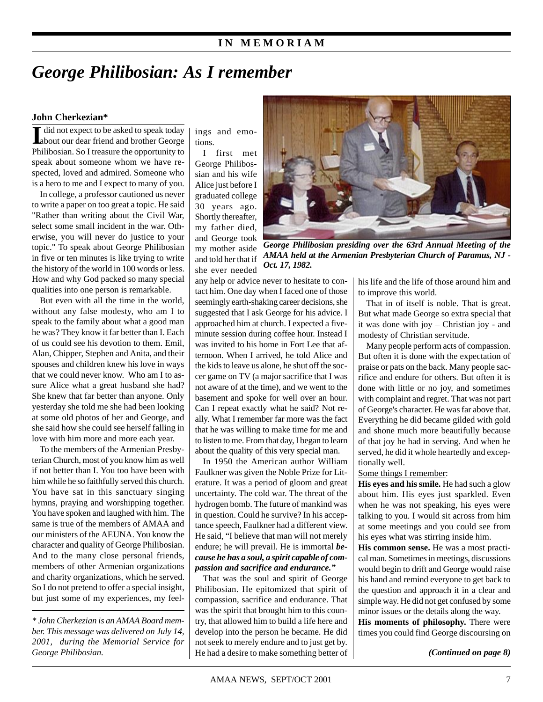### **I N M E M O R I A M**

# *George Philibosian: As I remember*

#### **John Cherkezian\***

II did not expect to be asked to speak today<br>about our dear friend and brother George Philibosian. So I treasure the opportunity to speak about someone whom we have respected, loved and admired. Someone who is a hero to me and I expect to many of you.

In college, a professor cautioned us never to write a paper on too great a topic. He said "Rather than writing about the Civil War, select some small incident in the war. Otherwise, you will never do justice to your topic." To speak about George Philibosian in five or ten minutes is like trying to write the history of the world in 100 words or less. How and why God packed so many special qualities into one person is remarkable.

But even with all the time in the world without any false modesty, who am I to speak to the family about what a good man he was? They know it far better than I. Each of us could see his devotion to them. Emil, Alan, Chipper, Stephen and Anita, and their spouses and children knew his love in ways that we could never know. Who am I to assure Alice what a great husband she had? She knew that far better than anyone. Only yesterday she told me she had been looking at some old photos of her and George, and she said how she could see herself falling in love with him more and more each year.

To the members of the Armenian Presbyterian Church, most of you know him as well if not better than I. You too have been with him while he so faithfully served this church. You have sat in this sanctuary singing hymns, praying and worshipping together. You have spoken and laughed with him. The same is true of the members of AMAA and our ministers of the AEUNA. You know the character and quality of George Philibosian. And to the many close personal friends, members of other Armenian organizations and charity organizations, which he served. So I do not pretend to offer a special insight, but just some of my experiences, my feel-

*\* John Cherkezian is an AMAA Board member. This message was delivered on July 14, 2001, during the Memorial Service for* ings and emotions.

I first met George Philibossian and his wife Alice just before I graduated college 30 years ago. Shortly thereafter, my father died, and George took my mother aside and told her that if she ever needed



*George Philibosian presiding over the 63rd Annual Meeting of the AMAA held at the Armenian Presbyterian Church of Paramus, NJ - Oct. 17, 1982.*

any help or advice never to hesitate to contact him. One day when I faced one of those seemingly earth-shaking career decisions, she suggested that I ask George for his advice. I approached him at church. I expected a fiveminute session during coffee hour. Instead I was invited to his home in Fort Lee that afternoon. When I arrived, he told Alice and the kids to leave us alone, he shut off the soccer game on TV (a major sacrifice that I was not aware of at the time), and we went to the basement and spoke for well over an hour. Can I repeat exactly what he said? Not really. What I remember far more was the fact that he was willing to make time for me and to listen to me. From that day, I began to learn about the quality of this very special man.

In 1950 the American author William Faulkner was given the Noble Prize for Literature. It was a period of gloom and great uncertainty. The cold war. The threat of the hydrogen bomb. The future of mankind was in question. Could he survive? In his acceptance speech, Faulkner had a different view. He said, "I believe that man will not merely endure; he will prevail. He is immortal *because he has a soul, a spirit capable of compassion and sacrifice and endurance."*

That was the soul and spirit of George Philibosian. He epitomized that spirit of compassion, sacrifice and endurance. That was the spirit that brought him to this country, that allowed him to build a life here and develop into the person he became. He did not seek to merely endure and to just get by. He had a desire to make something better of *George Philibosian. (Continued on page 8)*

his life and the life of those around him and to improve this world.

That in of itself is noble. That is great. But what made George so extra special that it was done with joy – Christian joy - and modesty of Christian servitude.

Many people perform acts of compassion. But often it is done with the expectation of praise or pats on the back. Many people sacrifice and endure for others. But often it is done with little or no joy, and sometimes with complaint and regret. That was not part of George's character. He was far above that. Everything he did became gilded with gold and shone much more beautifully because of that joy he had in serving. And when he served, he did it whole heartedly and exceptionally well.

Some things I remember:

**His eyes and his smile.** He had such a glow about him. His eyes just sparkled. Even when he was not speaking, his eyes were talking to you. I would sit across from him at some meetings and you could see from his eyes what was stirring inside him.

**His common sense.** He was a most practical man. Sometimes in meetings, discussions would begin to drift and George would raise his hand and remind everyone to get back to the question and approach it in a clear and simple way. He did not get confused by some minor issues or the details along the way.

**His moments of philosophy.** There were times you could find George discoursing on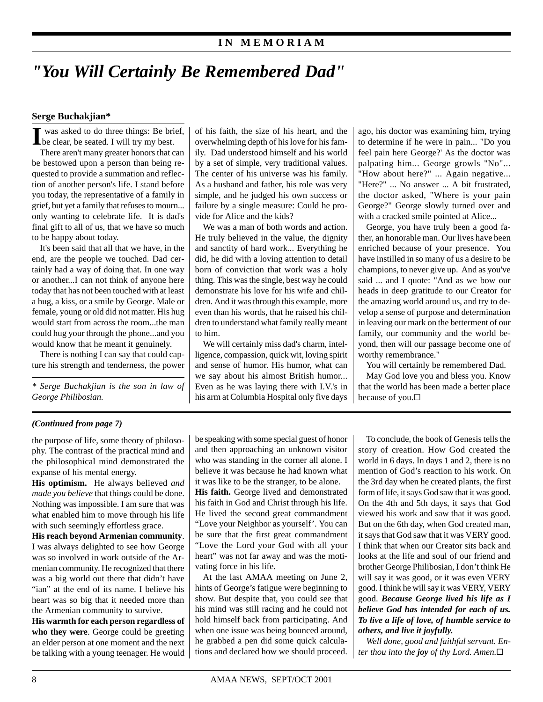### **I N M E M O R I A M**

# *"You Will Certainly Be Remembered Dad"*

#### **Serge Buchakjian\***

I was asked to do three things: Be brief,<br>be clear, be seated. I will try my best.

There aren't many greater honors that can be bestowed upon a person than being requested to provide a summation and reflection of another person's life. I stand before you today, the representative of a family in grief, but yet a family that refuses to mourn... only wanting to celebrate life. It is dad's final gift to all of us, that we have so much to be happy about today.

It's been said that all that we have, in the end, are the people we touched. Dad certainly had a way of doing that. In one way or another...I can not think of anyone here today that has not been touched with at least a hug, a kiss, or a smile by George. Male or female, young or old did not matter. His hug would start from across the room...the man could hug your through the phone...and you would know that he meant it genuinely.

There is nothing I can say that could capture his strength and tenderness, the power

*\* Serge Buchakjian is the son in law of George Philibosian.*

of his faith, the size of his heart, and the overwhelming depth of his love for his family. Dad understood himself and his world by a set of simple, very traditional values. The center of his universe was his family. As a husband and father, his role was very simple, and he judged his own success or failure by a single measure: Could he provide for Alice and the kids?

We was a man of both words and action. He truly believed in the value, the dignity and sanctity of hard work... Everything he did, he did with a loving attention to detail born of conviction that work was a holy thing. This was the single, best way he could demonstrate his love for his wife and children. And it was through this example, more even than his words, that he raised his children to understand what family really meant to him.

We will certainly miss dad's charm, intelligence, compassion, quick wit, loving spirit and sense of humor. His humor, what can we say about his almost British humor... Even as he was laying there with I.V.'s in his arm at Columbia Hospital only five days ago, his doctor was examining him, trying to determine if he were in pain... "Do you feel pain here George?' As the doctor was palpating him... George growls "No"... "How about here?" ... Again negative... "Here?" ... No answer ... A bit frustrated, the doctor asked, "Where is your pain George?" George slowly turned over and with a cracked smile pointed at Alice...

George, you have truly been a good father, an honorable man. Our lives have been enriched because of your presence. You have instilled in so many of us a desire to be champions, to never give up. And as you've said ... and I quote: "And as we bow our heads in deep gratitude to our Creator for the amazing world around us, and try to develop a sense of purpose and determination in leaving our mark on the betterment of our family, our community and the world beyond, then will our passage become one of worthy remembrance."

You will certainly be remembered Dad.

May God love you and bless you. Know that the world has been made a better place because of you.<sup>[]</sup>

#### *(Continued from page 7)*

the purpose of life, some theory of philosophy. The contrast of the practical mind and the philosophical mind demonstrated the expanse of his mental energy.

**His optimism.** He always believed *and made you believe* that things could be done. Nothing was impossible. I am sure that was what enabled him to move through his life with such seemingly effortless grace.

**His reach beyond Armenian community**. I was always delighted to see how George was so involved in work outside of the Armenian community. He recognized that there was a big world out there that didn't have "ian" at the end of its name. I believe his heart was so big that it needed more than the Armenian community to survive.

**His warmth for each person regardless of who they were**. George could be greeting an elder person at one moment and the next be talking with a young teenager. He would be speaking with some special guest of honor and then approaching an unknown visitor who was standing in the corner all alone. I believe it was because he had known what it was like to be the stranger, to be alone.

**His faith.** George lived and demonstrated his faith in God and Christ through his life. He lived the second great commandment "Love your Neighbor as yourself'. You can be sure that the first great commandment "Love the Lord your God with all your heart" was not far away and was the motivating force in his life.

At the last AMAA meeting on June 2, hints of George's fatigue were beginning to show. But despite that, you could see that his mind was still racing and he could not hold himself back from participating. And when one issue was being bounced around, he grabbed a pen did some quick calculations and declared how we should proceed.

To conclude, the book of Genesis tells the story of creation. How God created the world in 6 days. In days 1 and 2, there is no mention of God's reaction to his work. On the 3rd day when he created plants, the first form of life, it says God saw that it was good. On the 4th and 5th days, it says that God viewed his work and saw that it was good. But on the 6th day, when God created man, it says that God saw that it was VERY good. I think that when our Creator sits back and looks at the life and soul of our friend and brother George Philibosian, I don't think He will say it was good, or it was even VERY good. I think he will say it was VERY, VERY good. *Because George lived his life as I believe God has intended for each of us. To live a life of love, of humble service to others, and live it joyfully.*

*Well done, good and faithful servant. Enter thou into the joy of thy Lord. Amen.*G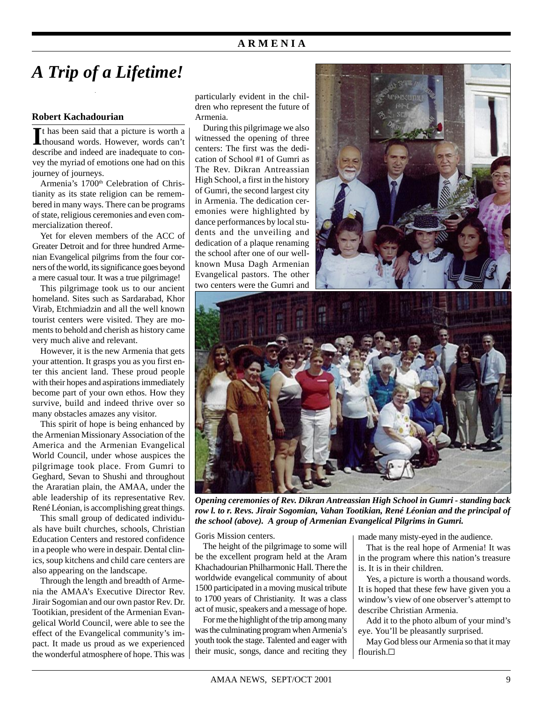### **A R M E N I A**

# *A Trip of a Lifetime!*

#### **Robert Kachadourian**

It has been said that a picture is worth a thousand words. However, words can't t has been said that a picture is worth a describe and indeed are inadequate to convey the myriad of emotions one had on this journey of journeys.

Armenia's 1700<sup>th</sup> Celebration of Christianity as its state religion can be remembered in many ways. There can be programs of state, religious ceremonies and even commercialization thereof.

Yet for eleven members of the ACC of Greater Detroit and for three hundred Armenian Evangelical pilgrims from the four corners of the world, its significance goes beyond a mere casual tour. It was a true pilgrimage!

This pilgrimage took us to our ancient homeland. Sites such as Sardarabad, Khor Virab, Etchmiadzin and all the well known tourist centers were visited. They are moments to behold and cherish as history came very much alive and relevant.

However, it is the new Armenia that gets your attention. It grasps you as you first enter this ancient land. These proud people with their hopes and aspirations immediately become part of your own ethos. How they survive, build and indeed thrive over so many obstacles amazes any visitor.

This spirit of hope is being enhanced by the Armenian Missionary Association of the America and the Armenian Evangelical World Council, under whose auspices the pilgrimage took place. From Gumri to Geghard, Sevan to Shushi and throughout the Araratian plain, the AMAA, under the able leadership of its representative Rev. René Léonian, is accomplishing great things.

This small group of dedicated individuals have built churches, schools, Christian Education Centers and restored confidence in a people who were in despair. Dental clinics, soup kitchens and child care centers are also appearing on the landscape.

Through the length and breadth of Armenia the AMAA's Executive Director Rev. Jirair Sogomian and our own pastor Rev. Dr. Tootikian, president of the Armenian Evangelical World Council, were able to see the effect of the Evangelical community's impact. It made us proud as we experienced the wonderful atmosphere of hope. This was particularly evident in the children who represent the future of Armenia.

During this pilgrimage we also witnessed the opening of three centers: The first was the dedication of School #1 of Gumri as The Rev. Dikran Antreassian High School, a first in the history of Gumri, the second largest city in Armenia. The dedication ceremonies were highlighted by dance performances by local students and the unveiling and dedication of a plaque renaming the school after one of our wellknown Musa Dagh Armenian Evangelical pastors. The other two centers were the Gumri and





*Opening ceremonies of Rev. Dikran Antreassian High School in Gumri - standing back row l. to r. Revs. Jirair Sogomian, Vahan Tootikian, René Léonian and the principal of the school (above). A group of Armenian Evangelical Pilgrims in Gumri.*

Goris Mission centers.

The height of the pilgrimage to some will be the excellent program held at the Aram Khachadourian Philharmonic Hall. There the worldwide evangelical community of about 1500 participated in a moving musical tribute to 1700 years of Christianity. It was a class act of music, speakers and a message of hope.

For me the highlight of the trip among many was the culminating program when Armenia's youth took the stage. Talented and eager with their music, songs, dance and reciting they

made many misty-eyed in the audience.

That is the real hope of Armenia! It was in the program where this nation's treasure is. It is in their children.

Yes, a picture is worth a thousand words. It is hoped that these few have given you a window's view of one observer's attempt to describe Christian Armenia.

Add it to the photo album of your mind's eye. You'll be pleasantly surprised.

May God bless our Armenia so that it may flourish.G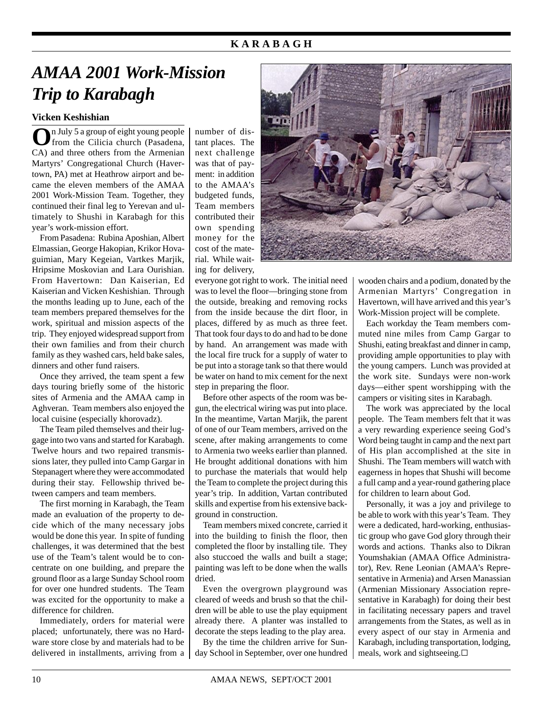## **K A R A B A G H**

# *AMAA 2001 Work-Mission Trip to Karabagh*

#### **Vicken Keshishian**

**O**n July 5 a group of eight young people from the Cilicia church (Pasadena, CA) and three others from the Armenian Martyrs' Congregational Church (Havertown, PA) met at Heathrow airport and became the eleven members of the AMAA 2001 Work-Mission Team. Together, they continued their final leg to Yerevan and ultimately to Shushi in Karabagh for this year's work-mission effort.

From Pasadena: Rubina Aposhian, Albert Elmassian, George Hakopian, Krikor Hovaguimian, Mary Kegeian, Vartkes Marjik, Hripsime Moskovian and Lara Ourishian. From Havertown: Dan Kaiserian, Ed Kaiserian and Vicken Keshishian. Through the months leading up to June, each of the team members prepared themselves for the work, spiritual and mission aspects of the trip. They enjoyed widespread support from their own families and from their church family as they washed cars, held bake sales, dinners and other fund raisers.

Once they arrived, the team spent a few days touring briefly some of the historic sites of Armenia and the AMAA camp in Aghveran. Team members also enjoyed the local cuisine (especially khorovadz).

The Team piled themselves and their luggage into two vans and started for Karabagh. Twelve hours and two repaired transmissions later, they pulled into Camp Gargar in Stepanagert where they were accommodated during their stay. Fellowship thrived between campers and team members.

The first morning in Karabagh, the Team made an evaluation of the property to decide which of the many necessary jobs would be done this year. In spite of funding challenges, it was determined that the best use of the Team's talent would be to concentrate on one building, and prepare the ground floor as a large Sunday School room for over one hundred students. The Team was excited for the opportunity to make a difference for children.

Immediately, orders for material were placed; unfortunately, there was no Hardware store close by and materials had to be delivered in installments, arriving from a number of distant places. The next challenge was that of payment: in addition to the AMAA's budgeted funds, Team members contributed their own spending money for the cost of the material. While waiting for delivery,

everyone got right to work. The initial need was to level the floor—bringing stone from the outside, breaking and removing rocks from the inside because the dirt floor, in places, differed by as much as three feet. That took four days to do and had to be done by hand. An arrangement was made with the local fire truck for a supply of water to be put into a storage tank so that there would be water on hand to mix cement for the next step in preparing the floor.

Before other aspects of the room was begun, the electrical wiring was put into place. In the meantime, Vartan Marjik, the parent of one of our Team members, arrived on the scene, after making arrangements to come to Armenia two weeks earlier than planned. He brought additional donations with him to purchase the materials that would help the Team to complete the project during this year's trip. In addition, Vartan contributed skills and expertise from his extensive background in construction.

Team members mixed concrete, carried it into the building to finish the floor, then completed the floor by installing tile. They also stuccoed the walls and built a stage; painting was left to be done when the walls dried.

Even the overgrown playground was cleared of weeds and brush so that the children will be able to use the play equipment already there. A planter was installed to decorate the steps leading to the play area.

By the time the children arrive for Sunday School in September, over one hundred



wooden chairs and a podium, donated by the Armenian Martyrs' Congregation in Havertown, will have arrived and this year's Work-Mission project will be complete.

Each workday the Team members commuted nine miles from Camp Gargar to Shushi, eating breakfast and dinner in camp, providing ample opportunities to play with the young campers. Lunch was provided at the work site. Sundays were non-work days—either spent worshipping with the campers or visiting sites in Karabagh.

The work was appreciated by the local people. The Team members felt that it was a very rewarding experience seeing God's Word being taught in camp and the next part of His plan accomplished at the site in Shushi. The Team members will watch with eagerness in hopes that Shushi will become a full camp and a year-round gathering place for children to learn about God.

Personally, it was a joy and privilege to be able to work with this year's Team. They were a dedicated, hard-working, enthusiastic group who gave God glory through their words and actions. Thanks also to Dikran Youmshakian (AMAA Office Administrator), Rev. Rene Leonian (AMAA's Representative in Armenia) and Arsen Manassian (Armenian Missionary Association representative in Karabagh) for doing their best in facilitating necessary papers and travel arrangements from the States, as well as in every aspect of our stay in Armenia and Karabagh, including transportation, lodging, meals, work and sightseeing.G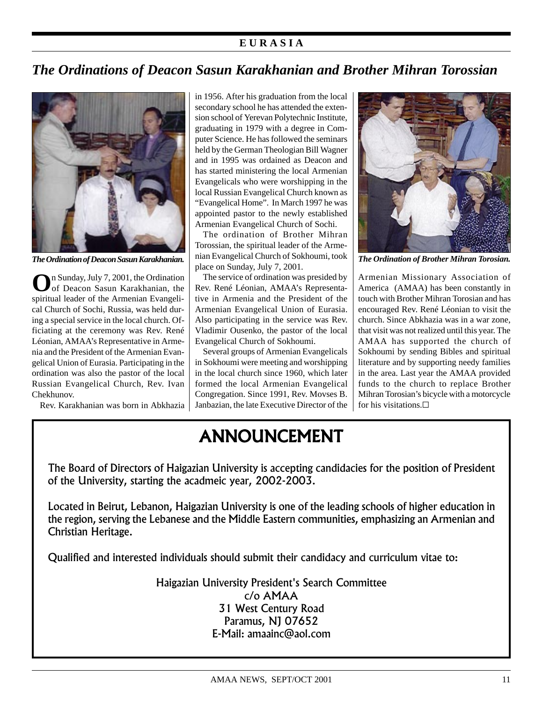## **E U R A S I A**

# *The Ordinations of Deacon Sasun Karakhanian and Brother Mihran Torossian*



*The Ordination of Deacon Sasun Karakhanian.*

**O**n Sunday, July 7, 2001, the Ordination of Deacon Sasun Karakhanian, the spiritual leader of the Armenian Evangelical Church of Sochi, Russia, was held during a special service in the local church. Officiating at the ceremony was Rev. René Léonian, AMAA's Representative in Armenia and the President of the Armenian Evangelical Union of Eurasia. Participating in the ordination was also the pastor of the local Russian Evangelical Church, Rev. Ivan Chekhunov.

Rev. Karakhanian was born in Abkhazia

in 1956. After his graduation from the local secondary school he has attended the extension school of Yerevan Polytechnic Institute, graduating in 1979 with a degree in Computer Science. He has followed the seminars held by the German Theologian Bill Wagner and in 1995 was ordained as Deacon and has started ministering the local Armenian Evangelicals who were worshipping in the local Russian Evangelical Church known as "Evangelical Home". In March 1997 he was appointed pastor to the newly established Armenian Evangelical Church of Sochi.

The ordination of Brother Mihran Torossian, the spiritual leader of the Armenian Evangelical Church of Sokhoumi, took place on Sunday, July 7, 2001.

The service of ordination was presided by Rev. René Léonian, AMAA's Representative in Armenia and the President of the Armenian Evangelical Union of Eurasia. Also participating in the service was Rev. Vladimir Ousenko, the pastor of the local Evangelical Church of Sokhoumi.

Several groups of Armenian Evangelicals in Sokhoumi were meeting and worshipping in the local church since 1960, which later formed the local Armenian Evangelical Congregation. Since 1991, Rev. Movses B. Janbazian, the late Executive Director of the



*The Ordination of Brother Mihran Torosian.*

Armenian Missionary Association of America (AMAA) has been constantly in touch with Brother Mihran Torosian and has encouraged Rev. René Léonian to visit the church. Since Abkhazia was in a war zone, that visit was not realized until this year. The AMAA has supported the church of Sokhoumi by sending Bibles and spiritual literature and by supporting needy families in the area. Last year the AMAA provided funds to the church to replace Brother Mihran Torosian's bicycle with a motorcycle for his visitations. $\square$ 

# ANNOUNCEMENT

The Board of Directors of Haigazian University is accepting candidacies for the position of President of the University, starting the acadmeic year, 2002-2003.

Located in Beirut, Lebanon, Haigazian University is one of the leading schools of higher education in the region, serving the Lebanese and the Middle Eastern communities, emphasizing an Armenian and Christian Heritage.

Qualified and interested individuals should submit their candidacy and curriculum vitae to:

Haigazian University President's Search Committee c/o AMAA 31 West Century Road Paramus, NJ 07652 E-Mail: amaainc@aol.com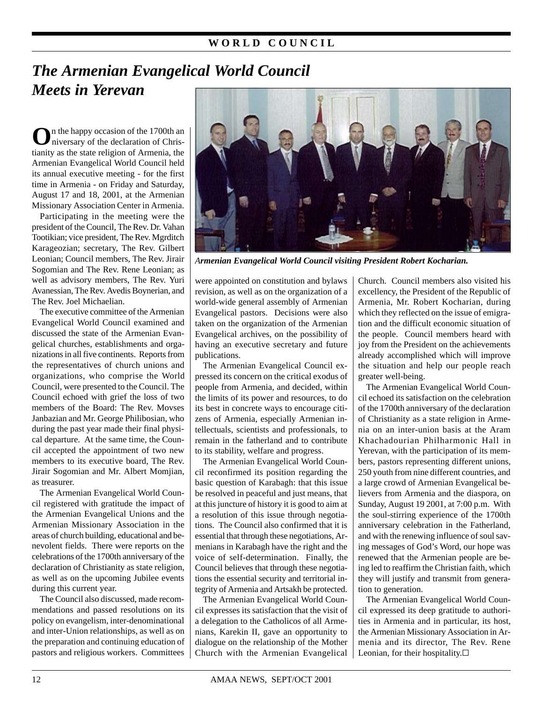### **W O R L D C O U N C I L**

# *The Armenian Evangelical World Council Meets in Yerevan*

**O**n the happy occasion of the 1700th and niversary of the declaration of Christianity as the state religion of Armenia, the Armenian Evangelical World Council held its annual executive meeting - for the first time in Armenia - on Friday and Saturday, August 17 and 18, 2001, at the Armenian Missionary Association Center in Armenia.

Participating in the meeting were the president of the Council, The Rev. Dr. Vahan Tootikian; vice president, The Rev. Mgrditch Karageozian; secretary, The Rev. Gilbert Leonian; Council members, The Rev. Jirair Sogomian and The Rev. Rene Leonian; as well as advisory members, The Rev. Yuri Avanessian, The Rev. Avedis Boynerian, and The Rev. Joel Michaelian.

The executive committee of the Armenian Evangelical World Council examined and discussed the state of the Armenian Evangelical churches, establishments and organizations in all five continents. Reports from the representatives of church unions and organizations, who comprise the World Council, were presented to the Council. The Council echoed with grief the loss of two members of the Board: The Rev. Movses Janbazian and Mr. George Philibosian, who during the past year made their final physical departure. At the same time, the Council accepted the appointment of two new members to its executive board, The Rev. Jirair Sogomian and Mr. Albert Momjian, as treasurer.

The Armenian Evangelical World Council registered with gratitude the impact of the Armenian Evangelical Unions and the Armenian Missionary Association in the areas of church building, educational and benevolent fields. There were reports on the celebrations of the 1700th anniversary of the declaration of Christianity as state religion, as well as on the upcoming Jubilee events during this current year.

The Council also discussed, made recommendations and passed resolutions on its policy on evangelism, inter-denominational and inter-Union relationships, as well as on the preparation and continuing education of pastors and religious workers. Committees



*Armenian Evangelical World Council visiting President Robert Kocharian.*

were appointed on constitution and bylaws revision, as well as on the organization of a world-wide general assembly of Armenian Evangelical pastors. Decisions were also taken on the organization of the Armenian Evangelical archives, on the possibility of having an executive secretary and future publications.

The Armenian Evangelical Council expressed its concern on the critical exodus of people from Armenia, and decided, within the limits of its power and resources, to do its best in concrete ways to encourage citizens of Armenia, especially Armenian intellectuals, scientists and professionals, to remain in the fatherland and to contribute to its stability, welfare and progress.

The Armenian Evangelical World Council reconfirmed its position regarding the basic question of Karabagh: that this issue be resolved in peaceful and just means, that at this juncture of history it is good to aim at a resolution of this issue through negotiations. The Council also confirmed that it is essential that through these negotiations, Armenians in Karabagh have the right and the voice of self-determination. Finally, the Council believes that through these negotiations the essential security and territorial integrity of Armenia and Artsakh be protected.

The Armenian Evangelical World Council expresses its satisfaction that the visit of a delegation to the Catholicos of all Armenians, Karekin II, gave an opportunity to dialogue on the relationship of the Mother Church with the Armenian Evangelical

Church. Council members also visited his excellency, the President of the Republic of Armenia, Mr. Robert Kocharian, during which they reflected on the issue of emigration and the difficult economic situation of the people. Council members heard with joy from the President on the achievements already accomplished which will improve the situation and help our people reach greater well-being.

The Armenian Evangelical World Council echoed its satisfaction on the celebration of the 1700th anniversary of the declaration of Christianity as a state religion in Armenia on an inter-union basis at the Aram Khachadourian Philharmonic Hall in Yerevan, with the participation of its members, pastors representing different unions, 250 youth from nine different countries, and a large crowd of Armenian Evangelical believers from Armenia and the diaspora, on Sunday, August 19 2001, at 7:00 p.m. With the soul-stirring experience of the 1700th anniversary celebration in the Fatherland, and with the renewing influence of soul saving messages of God's Word, our hope was renewed that the Armenian people are being led to reaffirm the Christian faith, which they will justify and transmit from generation to generation.

The Armenian Evangelical World Council expressed its deep gratitude to authorities in Armenia and in particular, its host, the Armenian Missionary Association in Armenia and its director, The Rev. Rene Leonian, for their hospitality.G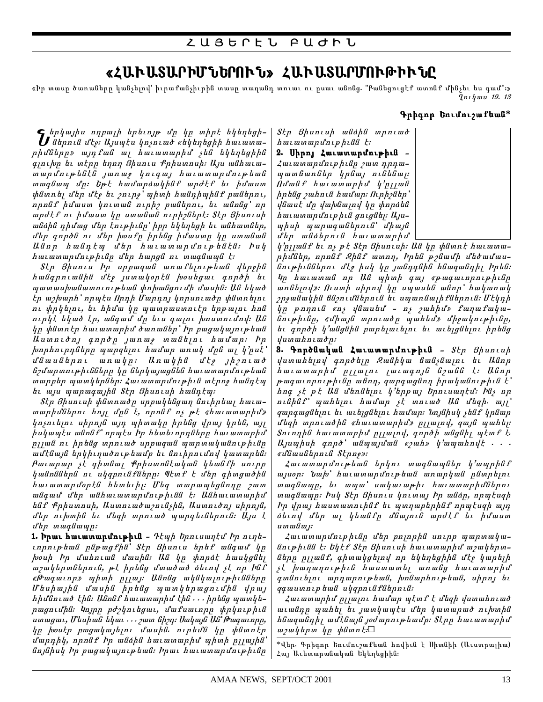# «ՀԱՒԱՏԱՐԻՄՆԵՐՈՒՆ» ՀԱՒԱՏԱՐՄՈՒԹԻՒՆԸ

«Իր տասը ծառաները կանչելով՝ իւրաքանչիւրին տասը տաղանդ տուաւ ու ըսաւ անոնց. "Բանեցուցէք ատոնք մինչեւ ես գամ"։»  ${n_l}$ uu 19. 13

#### **Aphon bniunitumo\***

 $\int_\sigma$ երկայիս ողբալի երեւոյթ մը կը տիրէ եկեղեցի-<br>Սներուն մէջ։ Այսպէս կոչուած «եկեղեցիի հաւատա $ph$  al il pharmapha and all pharmapha and although  $ph$  and  $ph$  and  $ph$  is  $ph$  and  $ph$  and  $ph$  and  $ph$  and  $ph$  and  $ph$  and  $ph$  and  $ph$  and  $ph$  and  $ph$  and  $ph$  and  $ph$  and  $ph$  and  $ph$  and  $ph$  and  $ph$  and  $ph$  and  $ph$  and  $ph$ qinibn tu mtnn tinnn 3huniu fnhumnuh: Uju wuthwiwտարմութենէն յառաջ կուգայ հաւատարմութեան mwquam un: bpt hwu unawhhuf wndtf bi hu wum փնտոել մեր մէջ եւ շուրջ՝ պիտի հանդիպինք բաներու, npnaf huaun hnimaa niph puatpni, ti wanag'np արժէք ու իմաստ կր ստանան ուրիշներէ։ Տէր Յիսուսի անձին դիմաց մեր էութիւնը՝ իրր եկեղեցի եւ անհատներ, մեր գործն ու մեր խօսքը իրենց իմաստր կը ստանան Ulanp hwantw u'ap hwiwmwpu'nipbatta: hul  $h$ աւատարմութիւնը մեր հարցն ու տագնապն է։

Stp 3 huntu bp uppwqwa wnwftintptwa ytopola hwaqnniwaha uto jummhonta woungmi qnnoh hi պատասխանատուութեան փոխանցումի մասին։ Ան եկած  $\epsilon$ ր աշխարհ՝ որպէս Որդի Մարդոյ կորսուածը փնտոելու nı փրկելու, եւ հիմա կր պատրաստուէր երթայու հոն nipht thuað tp, wagwu up tiu gwini hnumniund: Ua կը փնտոէր հաւատարիմ ծառաներ՝ Իր բացակայութեան Uuunnidn, qnpdp junuo muuttini huufun: hp  $\mu$ nphnippang mengkapar hadap anak dan hasak menjadi menalah kerataan dan keratanan dan keratanan antara keratanan dan keratanan dalam kanta mengalah kerata mengadak mencedatan dalam kanta mencedatan dalam kerata menceda  $\Delta$ uaftunda masharah memberikan memberikan memberikan memberikan memberikan memberikan memberikan memberikan memberikan memberikan memberikan memberikan memberikan memberikan memberikan memberikan memberikan memberikan m ճշմարտութիւնները կը ներկայացնեն հաւատարմութեան տարրեր պատկերներ։ Հաւատարմութիւն տէրոջ հանդէպ  $u$  ayu wunuquyha  $S$ th  $S$ huniuh hwantur

Stp 3 huntuh փնտոածը սրբակենցաղ նուիրեայ հաւաnuphu'ներու հոյլ մրն է, որոնք ոչ թէ «հաւատարիմ»  $y_1$ րչուելու սիրոյն այդ պիտակը իրենց վրայ կրեն, այլ  $h$ u $h$ uw $k$ u w $\theta$ na $f'$  npw $k$ u  $h$ p h $h$ untupp $\theta$  halahariman $h$ pilan ur phan mentang napang manangkanan para parta parta parta parta parta parta parta na parta na parta na p ամէնայն երկիւղածութեամբ եւ նուիրումով կատարեն։  $P$ աւարար չէ գիտնալ Քրիստոնէական կեանքի սուրբ կանոններն ու սկզբունքները: Պէտք է մեր գիտցածին hաւատարմօրէն հետեւիյ։ Մեզ տարապեցնողը շատ անգամ մեր անհաւատարմութիւնն է։ Անհաւատարիմ  $h$ uf Քրիստոսի, Աստուածաշունչին, Աստուծոյ սիրոյն, մեր ուխտին եւ մեզի տրուած պարգեւներուն։ Այս է *dtp mwqftwwp:* 

1. Իրաւ հաւատարմութիւն - Դեպի Երուսաղեմ Իր ուղեinpniptuua papugfha' Stp 8 huniu tiptif waqwu yp houh bp dwhniwa dwuha: Ua hp hnpat hwuhgati u yu hapındanıd, pt hn tag u'nu du datınd it nn baf «Թագաւոր» պիտի րլյայ։ Անոնց ակնկայութիւնները  $U$  ես իային մասին իրենց պատկերացումին վրայ hիմնուած էին։ Անոնք հաւատարիմ էին . . . իրենց պատկեpwgniu'hli: knjpp poylnitgwi, u'wfuwinpp փphniphili umuguu, Utuhud thuu ... yum thon: Uuhuya Ua' Puquunnp,  $\eta$ p /wout, pwgwyw, bun und masha mundu bazakan ke  $\mu$ unnh $\psi$ , nnnut  $\eta$  multiput huun munhu uphuh nyunghu նոյնիսկ Իր բացակայութեան։ Իրաւ հաւատարմութիւնր Skp Shuntuh wuithu unntwo  $h$ աւատարմութիւնն է։

2. Սիրոյ Հաւատարմութիւն -Հաւատարմութիւնը շատ դրդաwww.andundung.com/www.mudung.com/www. Omanq fauatarim k\*ellan  $h$ phuig *puhniu huufup: Ուրիշներ*  $y$ auut u'p yuhuuny yp ynpata  $h$ աւատարմութիւն ցուցնեյ։ Այս $upupu$  munuquudtannud' unung մեր անձերուն հաւատարիմ

 $h'$ pijulif tu ny pt Stp Bhuntuh: Uli hp yhlinnt hutumuphu'liap, npnlif 2hlif wwnn, bptil poliwu'h u'towu'wuնութիւններու մէջ իսկ կը յանդգնին հնազանդիլ Իրեն։  $4p$  hաւատան որ Ան պիտի գայ «թագաւորութիւնը undtiny»: Ուստի սիրով կը սպասեն անոր՝ հակառակ  $p$ րջանակին ճնշումներուն եւ սպառնայի քներուն։ Մէկդի  $y_n$  pnnni «n, ylimutu" - n, ymhhu", funmufuuluuնութիւնը, «միայն տրուածը պահեմ» միջակութիւնը,  $i$ u qnpoh h'wunguhu pwphywityni tu witygutyni hptug

 $\psi$ um whn  $\iota$  w $\delta$ p: 3. Գործնական Հաւատարմութիւն -  $S$ *էր Յիսուսի* վստահելով գործելը Զանիկա ճանչնալու եւ Անոր hwiw muphu pilalalo lauagnia di manda k: Ulan  $p$  wq w in pn iphilip w finn, q w pq w g linn h p w l w liniphili  $k'$ hng it pt Ul d'an din y'appw, bpniuwntu: baj np  $n$ ւնինք՝ պահեյու համար չէ տուած Ան մեզի. այլ՝ qարգացնելու եւ աւելցնելու համար։ Նոյնիսկ չենք կրնար մեզի տրուածին «հաւատարիմ» ըլյայով, զայն պահեյ։ Տուողին հաւատարիմ ըլլալով, գործի անցնիլ պէտք է.  $U_j$ uupuh qnp $\delta^*$  wutuuju al «zuh»  $\psi^*$ uuuhn $\psi$ k . . . «dawuatpnia Stpno»:

 $\mathcal{L}$ աւատարմութեան երկու տագնապներ կ'ապրինք  $u_1$ uop:  $\delta u_2$ , huuunupuntepau unupun afan puntepat mագնապր, եւ ապա՝ սակաւաթիւ հաւատարիմներու mwa awap: buy Stp Shuntu yntmwy bp waap, npwtugh  $h_p$  վրայ հաստատուինք եւ պտղաբերինք որպէսզի այդ atuny u'tip mj hamuth u'amini mpoth tu hu'mum  $u$  *u*  $u$  *u*  $u$  *j*  $\colon$ 

Հաւատարմութիւնը մեր բոլորին սուրբ պարտականութիւնն է։ Եկէք Տէր Յիսուսի հաւատարիմ աշակերտները րլյանք, գիտակցելով որ եկեղեցիին մէջ կարելի չէ խաղաղութիւն հաստատել առանց հաւատարիմ գտնուեյու արդարութեան, խոնարհութեան, սիրոյ եւ qqwuwniptuu uyqpniafatpnia:

 $\lambda$ աւատարիմ ըլլալու համար պէտք է մեզի վստահուած աւանդր պահել եւ յատկապէս մեր կատարած ուխտին  $h$ նազանդիլ ամէնայն յօժարութեամբ։  $S$ էրր հաւատարիմ  $u_2$ ակերտ կր փնտոէ։ $\Box$ 

 $^*$ վեր. Գրիգոր Եումուշաքեան հովիւն է Սիտնիի (Աւստրալիա) Հայ Աւետարանական Եկեղեցիին։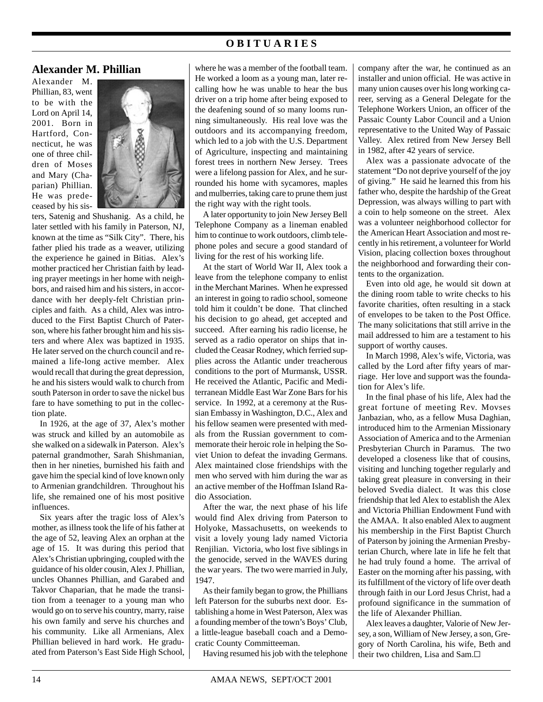## **O B I T U A R I E S**

#### **Alexander M. Phillian**

Alexander M. Phillian, 83, went to be with the Lord on April 14, 2001. Born in Hartford, Connecticut, he was one of three children of Moses and Mary (Chaparian) Phillian. He was predeceased by his sis-



ters, Satenig and Shushanig. As a child, he later settled with his family in Paterson, NJ, known at the time as "Silk City". There, his father plied his trade as a weaver, utilizing the experience he gained in Bitias. Alex's mother practiced her Christian faith by leading prayer meetings in her home with neighbors, and raised him and his sisters, in accordance with her deeply-felt Christian principles and faith. As a child, Alex was introduced to the First Baptist Church of Paterson, where his father brought him and his sisters and where Alex was baptized in 1935. He later served on the church council and remained a life-long active member. Alex would recall that during the great depression, he and his sisters would walk to church from south Paterson in order to save the nickel bus fare to have something to put in the collection plate.

In 1926, at the age of 37, Alex's mother was struck and killed by an automobile as she walked on a sidewalk in Paterson. Alex's paternal grandmother, Sarah Shishmanian, then in her nineties, burnished his faith and gave him the special kind of love known only to Armenian grandchildren. Throughout his life, she remained one of his most positive influences.

Six years after the tragic loss of Alex's mother, as illness took the life of his father at the age of 52, leaving Alex an orphan at the age of 15. It was during this period that Alex's Christian upbringing, coupled with the guidance of his older cousin, Alex J. Phillian, uncles Ohannes Phillian, and Garabed and Takvor Chaparian, that he made the transition from a teenager to a young man who would go on to serve his country, marry, raise his own family and serve his churches and his community. Like all Armenians, Alex Phillian believed in hard work. He graduated from Paterson's East Side High School,

where he was a member of the football team. He worked a loom as a young man, later recalling how he was unable to hear the bus driver on a trip home after being exposed to the deafening sound of so many looms running simultaneously. His real love was the outdoors and its accompanying freedom, which led to a job with the U.S. Department of Agriculture, inspecting and maintaining forest trees in northern New Jersey. Trees were a lifelong passion for Alex, and he surrounded his home with sycamores, maples and mulberries, taking care to prune them just the right way with the right tools.

A later opportunity to join New Jersey Bell Telephone Company as a lineman enabled him to continue to work outdoors, climb telephone poles and secure a good standard of living for the rest of his working life.

At the start of World War II, Alex took a leave from the telephone company to enlist in the Merchant Marines. When he expressed an interest in going to radio school, someone told him it couldn't be done. That clinched his decision to go ahead, get accepted and succeed. After earning his radio license, he served as a radio operator on ships that included the Ceasar Rodney, which ferried supplies across the Atlantic under treacherous conditions to the port of Murmansk, USSR. He received the Atlantic, Pacific and Mediterranean Middle East War Zone Bars for his service. In 1992, at a ceremony at the Russian Embassy in Washington, D.C., Alex and his fellow seamen were presented with medals from the Russian government to commemorate their heroic role in helping the Soviet Union to defeat the invading Germans. Alex maintained close friendships with the men who served with him during the war as an active member of the Hoffman Island Radio Association.

After the war, the next phase of his life would find Alex driving from Paterson to Holyoke, Massachusetts, on weekends to visit a lovely young lady named Victoria Renjilian. Victoria, who lost five siblings in the genocide, served in the WAVES during the war years. The two were married in July, 1947.

As their family began to grow, the Phillians left Paterson for the suburbs next door. Establishing a home in West Paterson, Alex was a founding member of the town's Boys' Club, a little-league baseball coach and a Democratic County Committeeman.

Having resumed his job with the telephone

company after the war, he continued as an installer and union official. He was active in many union causes over his long working career, serving as a General Delegate for the Telephone Workers Union, an officer of the Passaic County Labor Council and a Union representative to the United Way of Passaic Valley. Alex retired from New Jersey Bell in 1982, after 42 years of service.

Alex was a passionate advocate of the statement "Do not deprive yourself of the joy of giving." He said he learned this from his father who, despite the hardship of the Great Depression, was always willing to part with a coin to help someone on the street. Alex was a volunteer neighborhood collector for the American Heart Association and most recently in his retirement, a volunteer for World Vision, placing collection boxes throughout the neighborhood and forwarding their contents to the organization.

Even into old age, he would sit down at the dining room table to write checks to his favorite charities, often resulting in a stack of envelopes to be taken to the Post Office. The many solicitations that still arrive in the mail addressed to him are a testament to his support of worthy causes.

In March 1998, Alex's wife, Victoria, was called by the Lord after fifty years of marriage. Her love and support was the foundation for Alex's life.

In the final phase of his life, Alex had the great fortune of meeting Rev. Movses Janbazian, who, as a fellow Musa Daghian, introduced him to the Armenian Missionary Association of America and to the Armenian Presbyterian Church in Paramus. The two developed a closeness like that of cousins, visiting and lunching together regularly and taking great pleasure in conversing in their beloved Svedia dialect. It was this close friendship that led Alex to establish the Alex and Victoria Phillian Endowment Fund with the AMAA. It also enabled Alex to augment his membership in the First Baptist Church of Paterson by joining the Armenian Presbyterian Church, where late in life he felt that he had truly found a home. The arrival of Easter on the morning after his passing, with its fulfillment of the victory of life over death through faith in our Lord Jesus Christ, had a profound significance in the summation of the life of Alexander Phillian.

Alex leaves a daughter, Valorie of New Jersey, a son, William of New Jersey, a son, Gregory of North Carolina, his wife, Beth and their two children, Lisa and Sam.G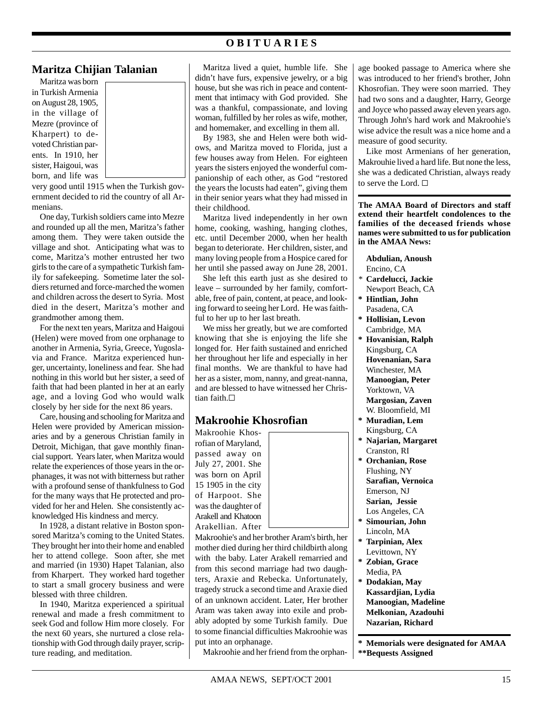## **O B I T U A R I E S**

#### **Maritza Chijian Talanian**

Maritza was born in Turkish Armenia on August 28, 1905, in the village of Mezre (province of Kharpert) to devoted Christian parents. In 1910, her sister, Haigoui, was born, and life was

very good until 1915 when the Turkish government decided to rid the country of all Armenians.

One day, Turkish soldiers came into Mezre and rounded up all the men, Maritza's father among them. They were taken outside the village and shot. Anticipating what was to come, Maritza's mother entrusted her two girls to the care of a sympathetic Turkish family for safekeeping. Sometime later the soldiers returned and force-marched the women and children across the desert to Syria. Most died in the desert, Maritza's mother and grandmother among them.

For the next ten years, Maritza and Haigoui (Helen) were moved from one orphanage to another in Armenia, Syria, Greece, Yugoslavia and France. Maritza experienced hunger, uncertainty, loneliness and fear. She had nothing in this world but her sister, a seed of faith that had been planted in her at an early age, and a loving God who would walk closely by her side for the next 86 years.

Care, housing and schooling for Maritza and Helen were provided by American missionaries and by a generous Christian family in Detroit, Michigan, that gave monthly financial support. Years later, when Maritza would relate the experiences of those years in the orphanages, it was not with bitterness but rather with a profound sense of thankfulness to God for the many ways that He protected and provided for her and Helen. She consistently acknowledged His kindness and mercy.

In 1928, a distant relative in Boston sponsored Maritza's coming to the United States. They brought her into their home and enabled her to attend college. Soon after, she met and married (in 1930) Hapet Talanian, also from Kharpert. They worked hard together to start a small grocery business and were blessed with three children.

In 1940, Maritza experienced a spiritual renewal and made a fresh commitment to seek God and follow Him more closely. For the next 60 years, she nurtured a close relationship with God through daily prayer, scripture reading, and meditation.

Maritza lived a quiet, humble life. She didn't have furs, expensive jewelry, or a big house, but she was rich in peace and contentment that intimacy with God provided. She was a thankful, compassionate, and loving woman, fulfilled by her roles as wife, mother, and homemaker, and excelling in them all.

By 1983, she and Helen were both widows, and Maritza moved to Florida, just a few houses away from Helen. For eighteen years the sisters enjoyed the wonderful companionship of each other, as God "restored the years the locusts had eaten", giving them in their senior years what they had missed in their childhood.

Maritza lived independently in her own home, cooking, washing, hanging clothes, etc. until December 2000, when her health began to deteriorate. Her children, sister, and many loving people from a Hospice cared for her until she passed away on June 28, 2001.

She left this earth just as she desired to leave – surrounded by her family, comfortable, free of pain, content, at peace, and looking forward to seeing her Lord. He was faithful to her up to her last breath.

We miss her greatly, but we are comforted knowing that she is enjoying the life she longed for. Her faith sustained and enriched her throughout her life and especially in her final months. We are thankful to have had her as a sister, mom, nanny, and great-nanna, and are blessed to have witnessed her Christian faith. $\Box$ 

### **Makroohie Khosrofian**

Makroohie Khosrofian of Maryland, passed away on July 27, 2001. She was born on April 15 1905 in the city of Harpoot. She was the daughter of Arakell and Khatoon Arakellian. After



Makroohie's and her brother Aram's birth, her mother died during her third childbirth along with the baby. Later Arakell remarried and from this second marriage had two daughters, Araxie and Rebecka. Unfortunately, tragedy struck a second time and Araxie died of an unknown accident. Later, Her brother Aram was taken away into exile and probably adopted by some Turkish family. Due to some financial difficulties Makroohie was put into an orphanage.

Makroohie and her friend from the orphan-

age booked passage to America where she was introduced to her friend's brother, John Khosrofian. They were soon married. They had two sons and a daughter, Harry, George and Joyce who passed away eleven years ago. Through John's hard work and Makroohie's wise advice the result was a nice home and a measure of good security.

Like most Armenians of her generation, Makrouhie lived a hard life. But none the less, she was a dedicated Christian, always ready to serve the Lord.  $\square$ 

**The AMAA Board of Directors and staff extend their heartfelt condolences to the families of the deceased friends whose names were submitted to us for publication in the AMAA News:**

**Abdulian, Anoush** Encino, CA

- *\** **Cardelucci, Jackie**
- Newport Beach, CA **\* Hintlian, John** Pasadena, CA
- **\* Hollisian, Levon** Cambridge, MA
- **\* Hovanisian, Ralph** Kingsburg, CA **Hovenanian, Sara** Winchester, MA **Manoogian, Peter** Yorktown, VA **Margosian, Zaven** W. Bloomfield, MI
- **\* Muradian, Lem** Kingsburg, CA
- **\* Najarian, Margaret** Cranston, RI
- **\* Orchanian, Rose** Flushing, NY **Sarafian, Vernoica** Emerson, NJ **Sarian, Jessie** Los Angeles, CA
- **\* Simourian, John** Lincoln, MA
- **\* Tarpinian, Alex** Levittown, NY
- **\* Zobian, Grace** Media, PA
- **\* Dodakian, May Kassardjian, Lydia Manoogian, Madeline Melkonian, Azadouhi Nazarian, Richard**

**\* Memorials were designated for AMAA \*\*Bequests Assigned**